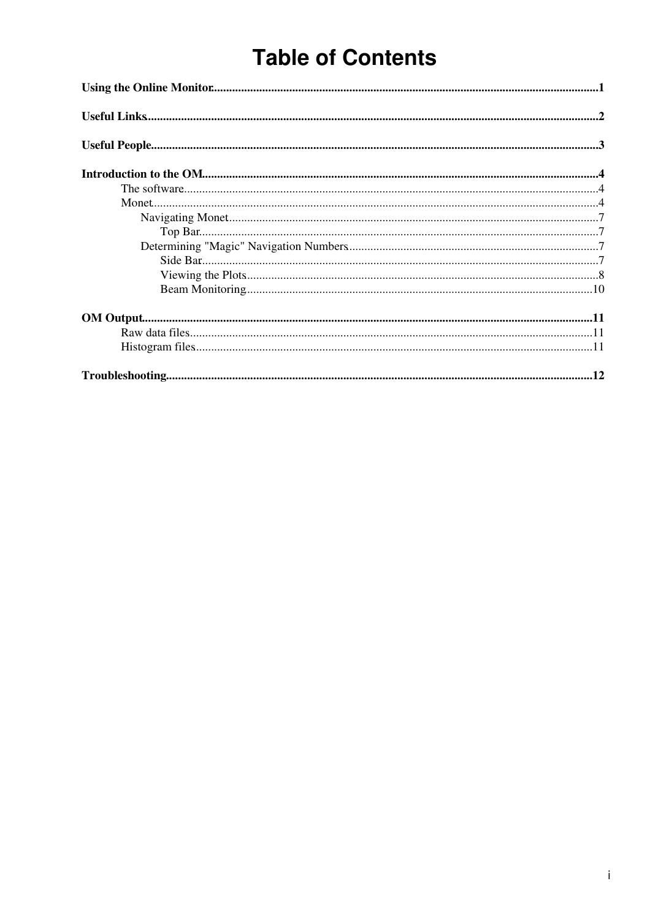# **Table of Contents**

| $Use full \textbf{People}.\textit{}.\textit{}.\textit{}.\textit{}.\textit{}.\textit{}.\textit{}.\textit{}.\textit{}.\textit{}.\textit{}.\textit{}.\textit{}.\textit{}.\textit{}.\textit{}.\textit{}.\textit{}$ |  |  |  |
|----------------------------------------------------------------------------------------------------------------------------------------------------------------------------------------------------------------|--|--|--|
|                                                                                                                                                                                                                |  |  |  |
|                                                                                                                                                                                                                |  |  |  |
|                                                                                                                                                                                                                |  |  |  |
|                                                                                                                                                                                                                |  |  |  |
|                                                                                                                                                                                                                |  |  |  |
|                                                                                                                                                                                                                |  |  |  |
|                                                                                                                                                                                                                |  |  |  |
|                                                                                                                                                                                                                |  |  |  |
|                                                                                                                                                                                                                |  |  |  |
|                                                                                                                                                                                                                |  |  |  |
|                                                                                                                                                                                                                |  |  |  |
|                                                                                                                                                                                                                |  |  |  |
|                                                                                                                                                                                                                |  |  |  |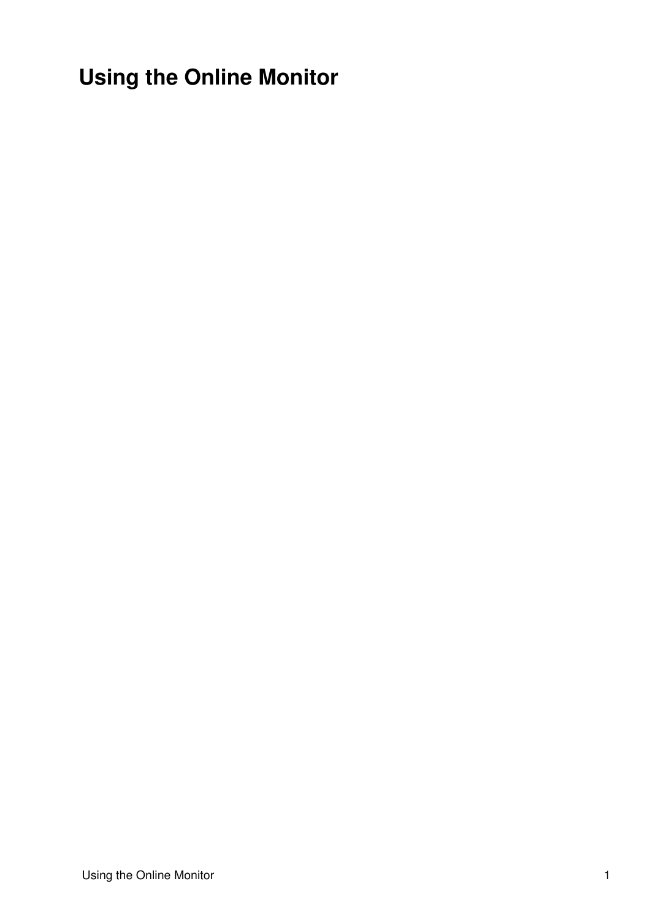<span id="page-1-0"></span>**Using the Online Monitor**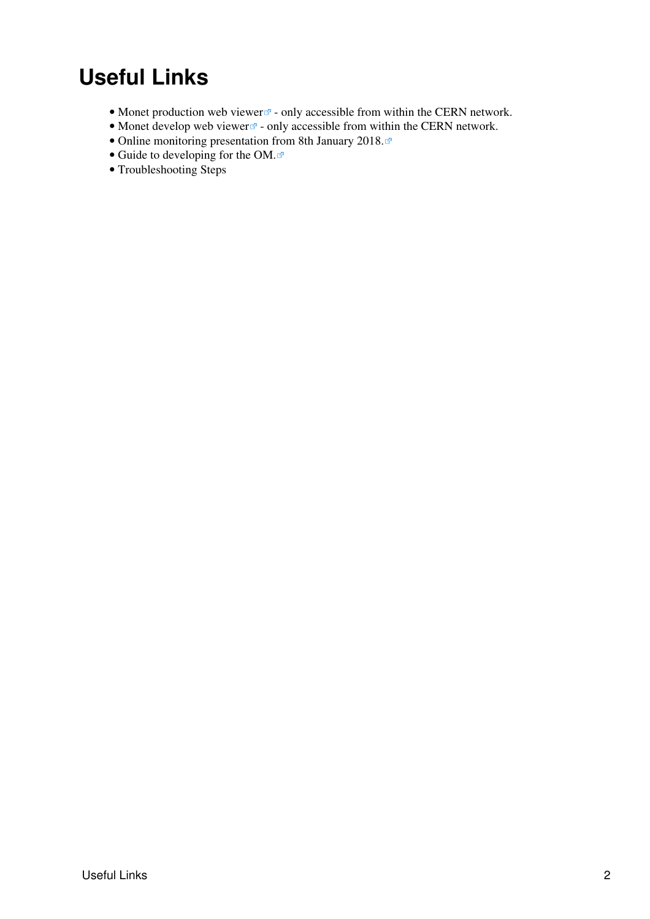## <span id="page-2-0"></span>**Useful Links**

- [Monet production web viewer](http://np04om.cern.ch:8123)<sup>2</sup> only accessible from within the CERN network.
- [Monet develop web viewer](http://np04om.cern.ch:7123) $\mathbb{F}$  only accessible from within the CERN network.
- [Online monitoring presentation from 8th January 2018.](https://indico.fnal.gov/event/16038/session/0/contribution/7/material/slides/0.pdf)
- [Guide to developing for the OM.](https://cdcvs.fnal.gov/redmine/projects/dunetpc/wiki/Guide_for_protoDUNE_online_monitoring_developers) $\Phi$
- [Troubleshooting Steps](https://twiki.cern.ch/twiki/bin/view/CENF/TroubleShooting)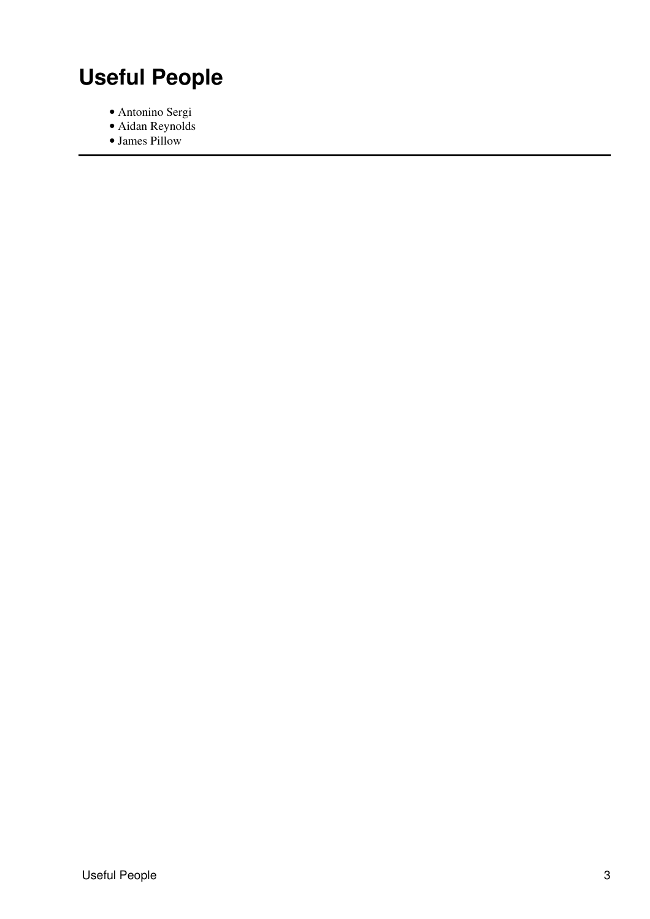# <span id="page-3-0"></span>**Useful People**

- Antonino Sergi
- Aidan Reynolds
- James Pillow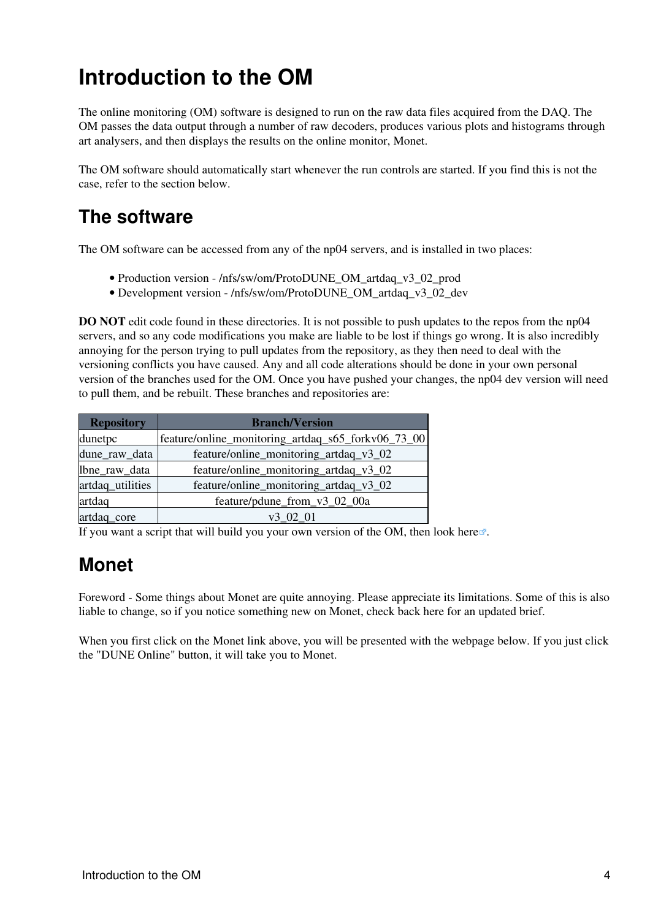## <span id="page-4-0"></span>**Introduction to the OM**

The online monitoring (OM) software is designed to run on the raw data files acquired from the DAQ. The OM passes the data output through a number of raw decoders, produces various plots and histograms through art analysers, and then displays the results on the online monitor, Monet.

The OM software should automatically start whenever the run controls are started. If you find this is not the case, refer to the section below.

## <span id="page-4-1"></span>**The software**

The OM software can be accessed from any of the np04 servers, and is installed in two places:

- Production version /nfs/sw/om/ProtoDUNE\_OM\_artdaq\_v3\_02\_prod
- Development version /nfs/sw/om/ProtoDUNE\_OM\_artdaq\_v3\_02\_dev

**DO NOT** edit code found in these directories. It is not possible to push updates to the repos from the np04 servers, and so any code modifications you make are liable to be lost if things go wrong. It is also incredibly annoying for the person trying to pull updates from the repository, as they then need to deal with the versioning conflicts you have caused. Any and all code alterations should be done in your own personal version of the branches used for the OM. Once you have pushed your changes, the np04 dev version will need to pull them, and be rebuilt. These branches and repositories are:

| <b>Repository</b> | <b>Branch/Version</b>                              |  |  |
|-------------------|----------------------------------------------------|--|--|
| dunetpc           | feature/online_monitoring_artdaq_s65_forkv06_73_00 |  |  |
| dune_raw_data     | feature/online_monitoring_artdaq_v3_02             |  |  |
| lbne_raw_data     | feature/online_monitoring_artdaq_v3_02             |  |  |
| artdaq utilities  | feature/online_monitoring_artdaq_v3_02             |  |  |
| artdaq            | feature/pdune_from_v3_02_00a                       |  |  |
| artdaq_core       | v3 02 01                                           |  |  |

If you want a script that will build you your own version of the OM, then look [here](https://cdcvs.fnal.gov/redmine/projects/dunetpc/wiki/Guide_for_protoDUNE_online_monitoring_developers)  $\mathbb{R}$ .

## <span id="page-4-2"></span>**Monet**

Foreword - Some things about Monet are quite annoying. Please appreciate its limitations. Some of this is also liable to change, so if you notice something new on Monet, check back here for an updated brief.

When you first click on the Monet link above, you will be presented with the webpage below. If you just click the "DUNE Online" button, it will take you to Monet.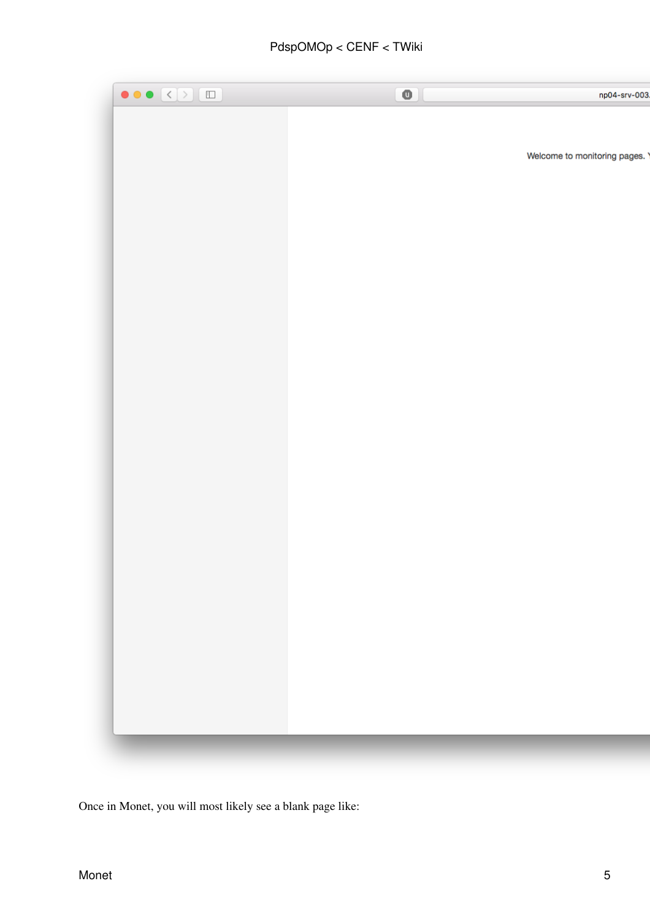### PdspOMOp < CENF < TWiki



Once in Monet, you will most likely see a blank page like: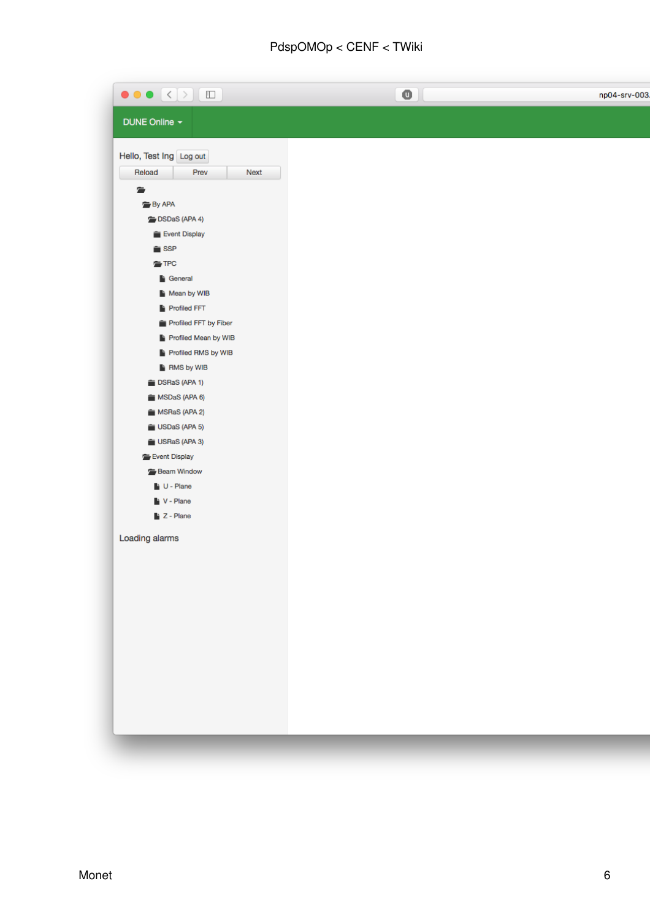## $PdspOMOp < CENF < TWi>Ki$

| $\bullet \bullet \bullet \times$<br>$\Box$ | o | np04-srv-003. |
|--------------------------------------------|---|---------------|
| DUNE Online -                              |   |               |
| Hello, Test Ing Log out                    |   |               |
| Reload<br>Next<br>Prev                     |   |               |
| 詹                                          |   |               |
| <b>By APA</b>                              |   |               |
| DSDaS (APA 4)                              |   |               |
| Event Display                              |   |               |
| $\hat{=}$ SSP                              |   |               |
| <b>TPC</b>                                 |   |               |
| General                                    |   |               |
| Mean by WIB<br>Profiled FFT                |   |               |
| Profiled FFT by Fiber                      |   |               |
| Profiled Mean by WIB                       |   |               |
| Profiled RMS by WIB                        |   |               |
| RMS by WIB                                 |   |               |
| DSRaS (APA 1)                              |   |               |
| MSDaS (APA 6)                              |   |               |
| MSRaS (APA 2)                              |   |               |
| USDaS (APA 5)                              |   |               |
| USRaS (APA 3)                              |   |               |
| Event Display                              |   |               |
| Beam Window                                |   |               |
| U - Plane                                  |   |               |
| V - Plane                                  |   |               |
| $\blacktriangleright$ Z - Plane            |   |               |
| Loading alarms                             |   |               |
|                                            |   |               |
|                                            |   |               |
|                                            |   |               |
|                                            |   |               |
|                                            |   |               |
|                                            |   |               |
|                                            |   |               |
|                                            |   |               |
|                                            |   |               |
|                                            |   |               |
|                                            |   |               |
|                                            |   |               |
|                                            |   |               |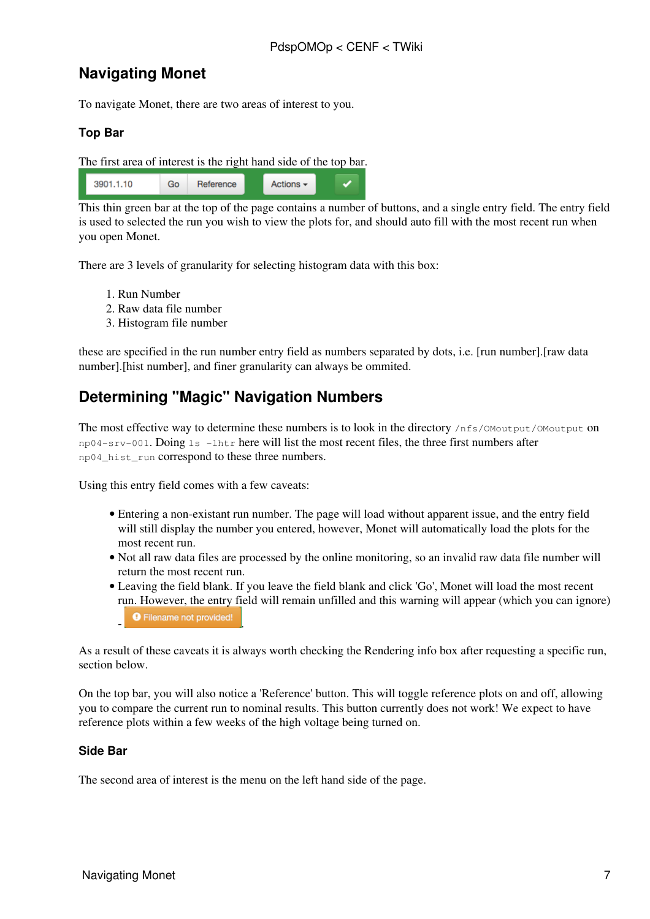### <span id="page-7-0"></span>**Navigating Monet**

To navigate Monet, there are two areas of interest to you.

### <span id="page-7-1"></span>**Top Bar**

The first area of interest is the right hand side of the top bar.



This thin green bar at the top of the page contains a number of buttons, and a single entry field. The entry field is used to selected the run you wish to view the plots for, and should auto fill with the most recent run when you open Monet.

There are 3 levels of granularity for selecting histogram data with this box:

- 1. Run Number
- 2. Raw data file number
- 3. Histogram file number

these are specified in the run number entry field as numbers separated by dots, i.e. [run number].[raw data number].[hist number], and finer granularity can always be ommited.

### <span id="page-7-2"></span>**Determining "Magic" Navigation Numbers**

The most effective way to determine these numbers is to look in the directory /nfs/0Moutput/0Moutput on np04-srv-001. Doing ls -lhtr here will list the most recent files, the three first numbers after np04\_hist\_run correspond to these three numbers.

Using this entry field comes with a few caveats:

- Entering a non-existant run number. The page will load without apparent issue, and the entry field will still display the number you entered, however, Monet will automatically load the plots for the most recent run.
- Not all raw data files are processed by the online monitoring, so an invalid raw data file number will return the most recent run.
- Leaving the field blank. If you leave the field blank and click 'Go', Monet will load the most recent run. However, the entry field will remain unfilled and this warning will appear (which you can ignore) **O** Filename not provided!

As a result of these caveats it is always worth checking the Rendering info box after requesting a specific run, section below.

On the top bar, you will also notice a 'Reference' button. This will toggle reference plots on and off, allowing you to compare the current run to nominal results. This button currently does not work! We expect to have reference plots within a few weeks of the high voltage being turned on.

#### <span id="page-7-3"></span>**Side Bar**

The second area of interest is the menu on the left hand side of the page.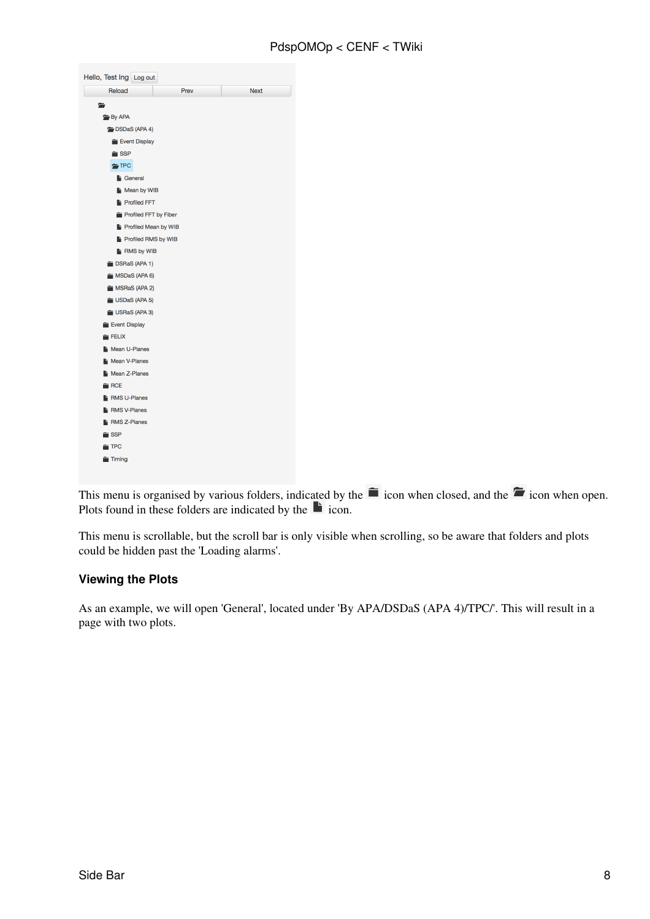| Reload                      | Prev | <b>Next</b> |
|-----------------------------|------|-------------|
|                             |      |             |
| <b>By APA</b>               |      |             |
| DSDaS (APA 4)               |      |             |
| Event Display               |      |             |
| $\equiv$ SSP                |      |             |
| $\equiv$ TPC                |      |             |
| <sup>1</sup> General        |      |             |
| Mean by WIB                 |      |             |
| <b>Profiled FFT</b>         |      |             |
| Profiled FFT by Fiber       |      |             |
| <b>Profiled Mean by WIB</b> |      |             |
| Profiled RMS by WIB         |      |             |
| <b>RMS by WIB</b>           |      |             |
| DSRaS (APA 1)               |      |             |
| MSDaS (APA 6)               |      |             |
| MSRaS (APA 2)               |      |             |
| USDaS (APA 5)               |      |             |
| USRaS (APA 3)               |      |             |
| Event Display               |      |             |
| FELIX                       |      |             |
| Mean U-Planes               |      |             |
| Mean V-Planes               |      |             |
| <b>Nean Z-Planes</b>        |      |             |
| $\hat{=}$ RCE               |      |             |
| <b>RMS U-Planes</b>         |      |             |
| <b>RMS V-Planes</b>         |      |             |
| RMS Z-Planes                |      |             |
| $\hat{=}$ SSP               |      |             |
| $\equiv$ TPC                |      |             |

This menu is organised by various folders, indicated by the  $\blacksquare$  icon when closed, and the  $\blacksquare$  icon when open. Plots found in these folders are indicated by the  $\blacksquare$  icon.

This menu is scrollable, but the scroll bar is only visible when scrolling, so be aware that folders and plots could be hidden past the 'Loading alarms'.

### <span id="page-8-0"></span>**Viewing the Plots**

As an example, we will open 'General', located under 'By APA/DSDaS (APA 4)/TPC/'. This will result in a page with two plots.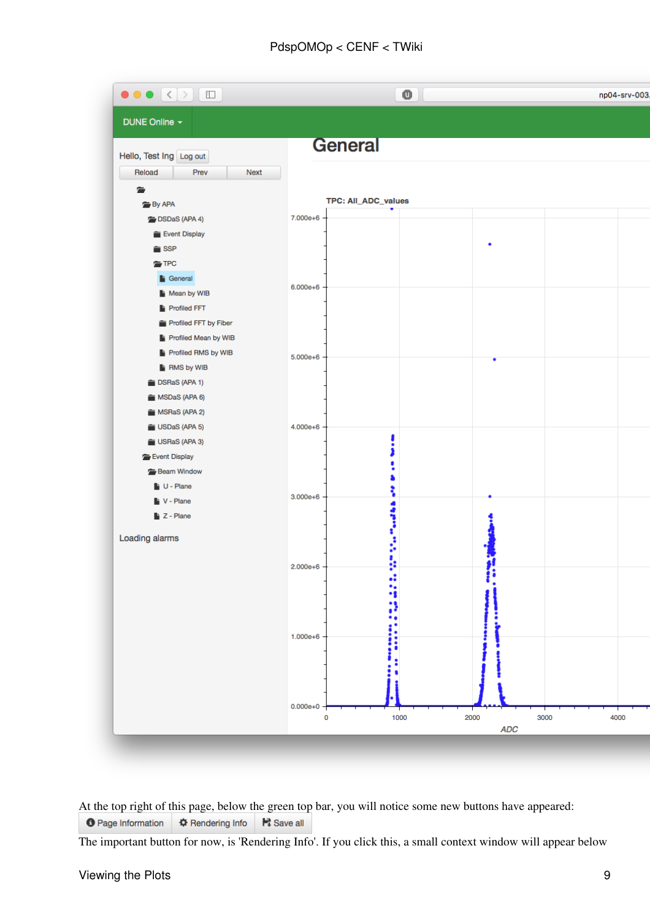### PdspOMOp < CENF < TWiki

| $\bullet \bullet \bullet \langle \cdot   \cdot \rangle$ (ii)                        | o                                 | np04-srv-003               |
|-------------------------------------------------------------------------------------|-----------------------------------|----------------------------|
| DUNE Online -                                                                       |                                   |                            |
| Hello, Test Ing Log out<br>Reload<br>Prev<br>Next                                   | <b>General</b>                    |                            |
| 宕<br><b>By APA</b>                                                                  | TPC: All_ADC_values               |                            |
| DSDaS (APA 4)<br>Event Display                                                      | 7.000e+6                          |                            |
| $\hat{=}$ SSP<br>$\equiv$ TPC<br>General                                            | $6.000e + 6$                      |                            |
| Mean by WIB<br><b>Profiled FFT</b><br>Profiled FFT by Fiber<br>Profiled Mean by WIB |                                   |                            |
| Profiled RMS by WIB<br>RMS by WIB                                                   | $5.000e + 6$                      |                            |
| SRaS (APA 1)<br>MSDaS (APA 6)<br>MSRaS (APA 2)                                      |                                   |                            |
| USDaS (APA 5)<br>USRaS (APA 3)<br>Event Display                                     | 4.000e+6                          |                            |
| Beam Window<br>U - Plane<br>V - Plane                                               | $3.000e + 6$                      |                            |
| $\blacktriangleright$ Z - Plane<br>Loading alarms                                   | ä<br>ļ<br>Ĵ                       |                            |
|                                                                                     | ፟<br>å<br>$2.000e + 6$<br>.:      |                            |
|                                                                                     | $1.000e + 6$                      |                            |
|                                                                                     |                                   |                            |
|                                                                                     | $0.000e + 0$<br>1000<br>2000<br>0 | 3000<br>4000<br><b>ADC</b> |

At the top right of this page, below the green top bar, you will notice some new buttons have appeared: **O** Page Information  $\bigoplus$  Rendering Info **F** Save all

The important button for now, is 'Rendering Info'. If you click this, a small context window will appear below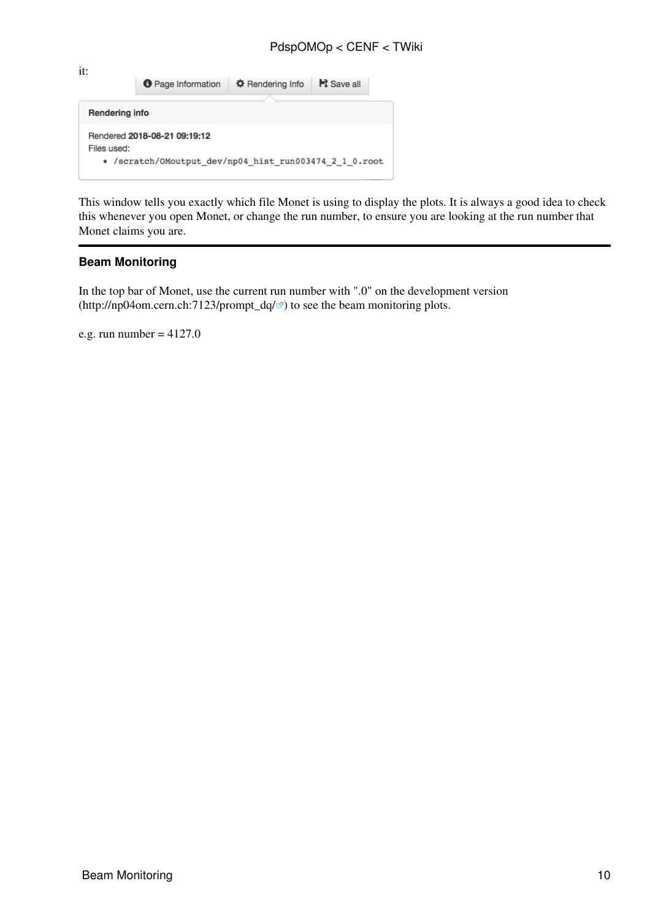#### PdspOMOp < CENF < TWiki

it: **O** Page Information  $\ddot{\phi}$  Rendering Info Ht Save all **Rendering info** Rendered 2018-08-21 09:19:12 Files used: • /scratch/0Moutput\_dev/np04\_hist\_run003474\_2\_1\_0.root

This window tells you exactly which file Monet is using to display the plots. It is always a good idea to check this whenever you open Monet, or change the run number, to ensure you are looking at the run number that Monet claims you are.

#### <span id="page-10-0"></span>**Beam Monitoring**

In the top bar of Monet, use the current run number with ".0" on the development version ([http://np04om.cern.ch:7123/prompt\\_dq/](http://np04om.cern.ch:7123/prompt_dq/) $\alpha$ ) to see the beam monitoring plots.

e.g. run number  $= 4127.0$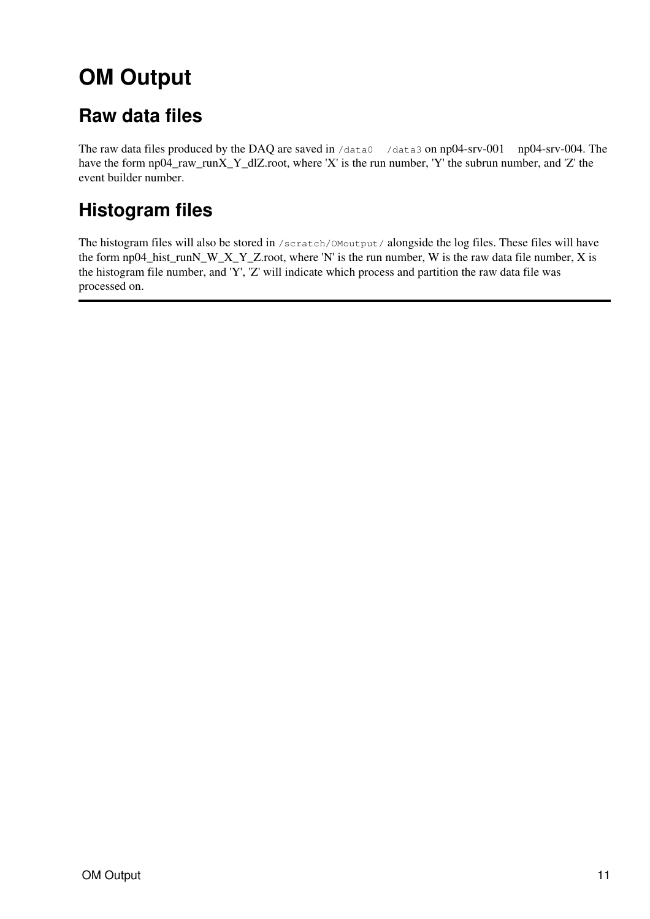# <span id="page-11-0"></span>**OM Output**

## <span id="page-11-1"></span>**Raw data files**

The raw data files produced by the DAQ are saved in /data0 /data3 on np04-srv-001 – np04-srv-004. The have the form np04\_raw\_runX\_Y\_dlZ.root, where 'X' is the run number, 'Y' the subrun number, and 'Z' the event builder number.

## <span id="page-11-2"></span>**Histogram files**

The histogram files will also be stored in /scratch/OMoutput/ alongside the log files. These files will have the form np04\_hist\_runN\_W\_X\_Y\_Z.root, where 'N' is the run number, W is the raw data file number, X is the histogram file number, and 'Y', 'Z' will indicate which process and partition the raw data file was processed on.